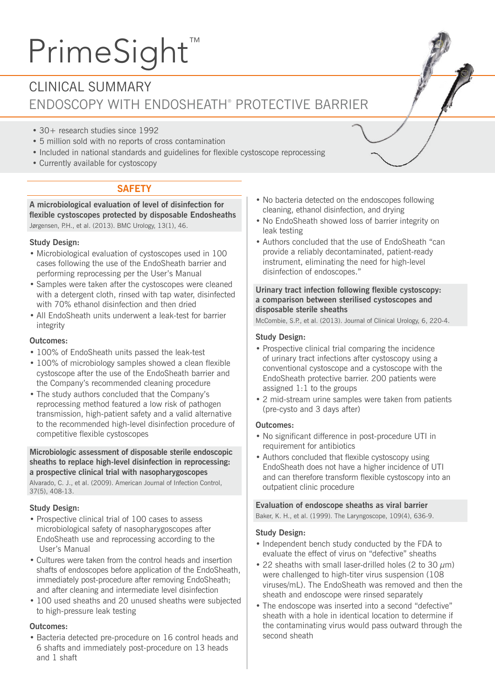# PrimeSight™

# CLINICAL SUMMARY ENDOSCOPY WITH ENDOSHEATH® PROTECTIVE BARRIER

- 30+ research studies since 1992
- 5 million sold with no reports of cross contamination
- Included in national standards and guidelines for flexible cystoscope reprocessing
- Currently available for cystoscopy

## **SAFETY**

**A microbiological evaluation of level of disinfection for flexible cystoscopes protected by disposable Endosheaths** Jørgensen, P.H., et al. (2013). BMC Urology, 13(1), 46.

#### **Study Design:**

- Microbiological evaluation of cystoscopes used in 100 cases following the use of the EndoSheath barrier and performing reprocessing per the User's Manual
- Samples were taken after the cystoscopes were cleaned with a detergent cloth, rinsed with tap water, disinfected with 70% ethanol disinfection and then dried
- All EndoSheath units underwent a leak-test for barrier integrity

#### **Outcomes:**

- 100% of EndoSheath units passed the leak-test
- 100% of microbiology samples showed a clean flexible cystoscope after the use of the EndoSheath barrier and the Company's recommended cleaning procedure
- The study authors concluded that the Company's reprocessing method featured a low risk of pathogen transmission, high-patient safety and a valid alternative to the recommended high-level disinfection procedure of competitive flexible cystoscopes

#### **Microbiologic assessment of disposable sterile endoscopic sheaths to replace high-level disinfection in reprocessing: a prospective clinical trial with nasopharygoscopes**

Alvarado, C. J., et al. (2009). American Journal of Infection Control, 37(5), 408-13.

#### **Study Design:**

- Prospective clinical trial of 100 cases to assess microbiological safety of nasopharygoscopes after EndoSheath use and reprocessing according to the User's Manual
- Cultures were taken from the control heads and insertion shafts of endoscopes before application of the EndoSheath, immediately post-procedure after removing EndoSheath; and after cleaning and intermediate level disinfection
- 100 used sheaths and 20 unused sheaths were subjected to high-pressure leak testing

#### **Outcomes:**

• Bacteria detected pre-procedure on 16 control heads and 6 shafts and immediately post-procedure on 13 heads and 1 shaft

- No bacteria detected on the endoscopes following cleaning, ethanol disinfection, and drying
- No EndoSheath showed loss of barrier integrity on leak testing
- Authors concluded that the use of EndoSheath "can provide a reliably decontaminated, patient-ready instrument, eliminating the need for high-level disinfection of endoscopes."

#### **Urinary tract infection following flexible cystoscopy: a comparison between sterilised cystoscopes and disposable sterile sheaths**

McCombie, S.P., et al. (2013). Journal of Clinical Urology, 6, 220-4.

#### **Study Design:**

- Prospective clinical trial comparing the incidence of urinary tract infections after cystoscopy using a conventional cystoscope and a cystoscope with the EndoSheath protective barrier. 200 patients were assigned 1:1 to the groups
- 2 mid-stream urine samples were taken from patients (pre-cysto and 3 days after)

#### **Outcomes:**

- No significant difference in post-procedure UTI in requirement for antibiotics
- Authors concluded that flexible cystoscopy using EndoSheath does not have a higher incidence of UTI and can therefore transform flexible cystoscopy into an outpatient clinic procedure

#### **Evaluation of endoscope sheaths as viral barrier**

Baker, K. H., et al. (1999). The Laryngoscope, 109(4), 636-9.

#### **Study Design:**

- Independent bench study conducted by the FDA to evaluate the effect of virus on "defective" sheaths
- 22 sheaths with small laser-drilled holes (2 to 30  $\mu$ m) were challenged to high-titer virus suspension (108 viruses/mL). The EndoSheath was removed and then the sheath and endoscope were rinsed separately
- The endoscope was inserted into a second "defective" sheath with a hole in identical location to determine if the contaminating virus would pass outward through the second sheath